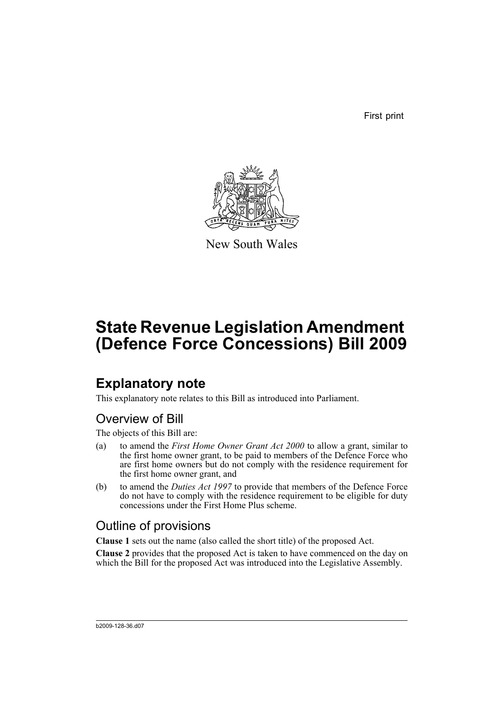First print



New South Wales

# **State Revenue Legislation Amendment (Defence Force Concessions) Bill 2009**

## **Explanatory note**

This explanatory note relates to this Bill as introduced into Parliament.

### Overview of Bill

The objects of this Bill are:

- (a) to amend the *First Home Owner Grant Act 2000* to allow a grant, similar to the first home owner grant, to be paid to members of the Defence Force who are first home owners but do not comply with the residence requirement for the first home owner grant, and
- (b) to amend the *Duties Act 1997* to provide that members of the Defence Force do not have to comply with the residence requirement to be eligible for duty concessions under the First Home Plus scheme.

### Outline of provisions

**Clause 1** sets out the name (also called the short title) of the proposed Act.

**Clause 2** provides that the proposed Act is taken to have commenced on the day on which the Bill for the proposed Act was introduced into the Legislative Assembly.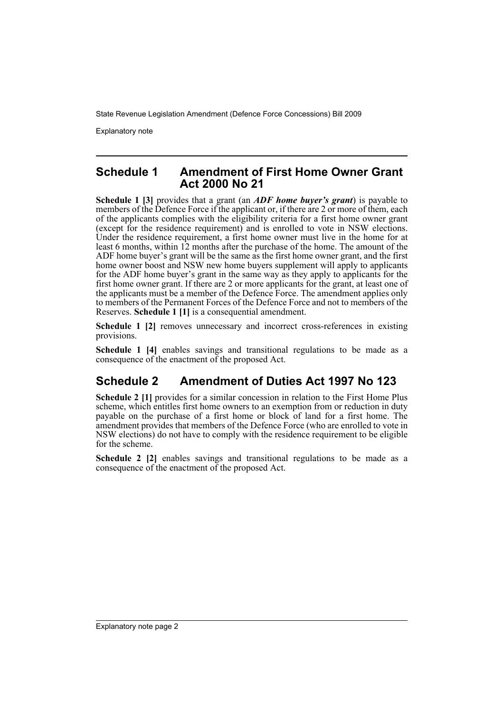Explanatory note

#### **Schedule 1 Amendment of First Home Owner Grant Act 2000 No 21**

**Schedule 1 [3]** provides that a grant (an *ADF home buyer's grant*) is payable to members of the Defence Force if the applicant or, if there are 2 or more of them, each of the applicants complies with the eligibility criteria for a first home owner grant (except for the residence requirement) and is enrolled to vote in NSW elections. Under the residence requirement, a first home owner must live in the home for at least 6 months, within 12 months after the purchase of the home. The amount of the ADF home buyer's grant will be the same as the first home owner grant, and the first home owner boost and NSW new home buyers supplement will apply to applicants for the ADF home buyer's grant in the same way as they apply to applicants for the first home owner grant. If there are 2 or more applicants for the grant, at least one of the applicants must be a member of the Defence Force. The amendment applies only to members of the Permanent Forces of the Defence Force and not to members of the Reserves. **Schedule 1 [1]** is a consequential amendment.

**Schedule 1 [2]** removes unnecessary and incorrect cross-references in existing provisions.

Schedule 1 [4] enables savings and transitional regulations to be made as a consequence of the enactment of the proposed Act.

#### **Schedule 2 Amendment of Duties Act 1997 No 123**

**Schedule 2 [1]** provides for a similar concession in relation to the First Home Plus scheme, which entitles first home owners to an exemption from or reduction in duty payable on the purchase of a first home or block of land for a first home. The amendment provides that members of the Defence Force (who are enrolled to vote in NSW elections) do not have to comply with the residence requirement to be eligible for the scheme.

**Schedule 2 [2]** enables savings and transitional regulations to be made as a consequence of the enactment of the proposed Act.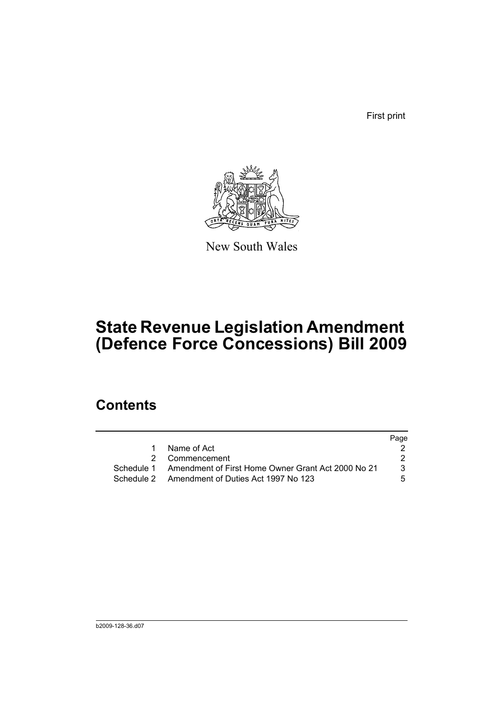First print



New South Wales

# **State Revenue Legislation Amendment (Defence Force Concessions) Bill 2009**

### **Contents**

|   |                                                               | Page |
|---|---------------------------------------------------------------|------|
| 1 | Name of Act                                                   |      |
|   | 2 Commencement                                                |      |
|   | Schedule 1 Amendment of First Home Owner Grant Act 2000 No 21 | 3    |
|   | Schedule 2 Amendment of Duties Act 1997 No 123                | 5.   |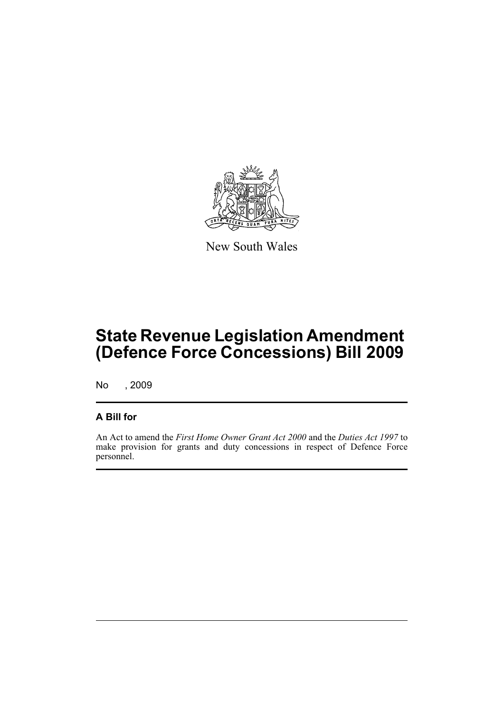

New South Wales

# **State Revenue Legislation Amendment (Defence Force Concessions) Bill 2009**

No , 2009

#### **A Bill for**

An Act to amend the *First Home Owner Grant Act 2000* and the *Duties Act 1997* to make provision for grants and duty concessions in respect of Defence Force personnel.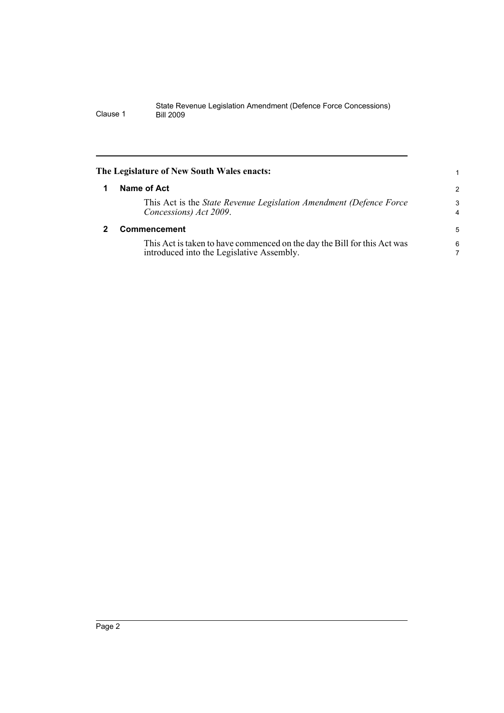<span id="page-5-1"></span><span id="page-5-0"></span>

| The Legislature of New South Wales enacts:                                                                            |                |
|-----------------------------------------------------------------------------------------------------------------------|----------------|
| Name of Act                                                                                                           | $\overline{2}$ |
| This Act is the <i>State Revenue Legislation Amendment (Defence Force</i> )<br>Concessions) Act 2009.                 | 3<br>4         |
| <b>Commencement</b>                                                                                                   |                |
| This Act is taken to have commenced on the day the Bill for this Act was<br>introduced into the Legislative Assembly. | 6              |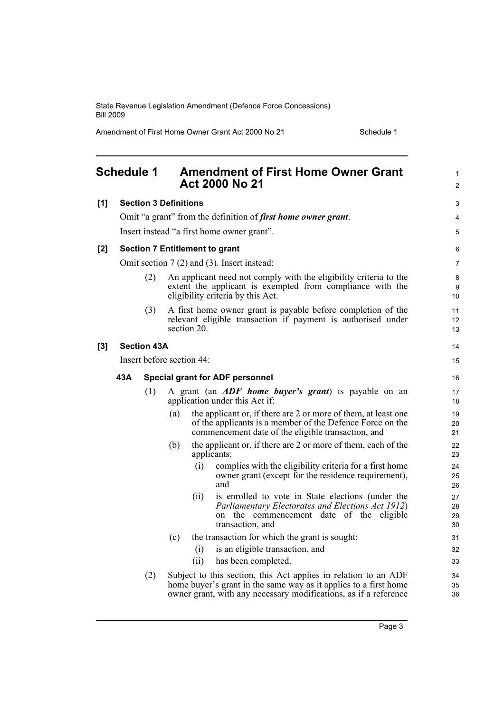Amendment of First Home Owner Grant Act 2000 No 21 Schedule 1

<span id="page-6-0"></span>

|     | <b>Schedule 1</b>                             |     |                           |             | <b>Amendment of First Home Owner Grant</b><br><b>Act 2000 No 21</b>                                                                                                                                     | $\mathbf{1}$<br>$\overline{2}$ |
|-----|-----------------------------------------------|-----|---------------------------|-------------|---------------------------------------------------------------------------------------------------------------------------------------------------------------------------------------------------------|--------------------------------|
| [1] | <b>Section 3 Definitions</b>                  |     |                           |             |                                                                                                                                                                                                         | 3                              |
|     |                                               |     |                           |             | Omit "a grant" from the definition of <i>first home owner grant</i> .                                                                                                                                   | 4                              |
|     |                                               |     |                           |             | Insert instead "a first home owner grant".                                                                                                                                                              | 5                              |
| [2] | <b>Section 7 Entitlement to grant</b>         |     |                           |             |                                                                                                                                                                                                         | 6                              |
|     |                                               |     |                           |             | Omit section $7(2)$ and $(3)$ . Insert instead:                                                                                                                                                         | 7                              |
|     |                                               | (2) |                           |             | An applicant need not comply with the eligibility criteria to the<br>extent the applicant is exempted from compliance with the<br>eligibility criteria by this Act.                                     | 8<br>9<br>10                   |
|     |                                               | (3) |                           | section 20. | A first home owner grant is payable before completion of the<br>relevant eligible transaction if payment is authorised under                                                                            | 11<br>12<br>13                 |
| [3] | <b>Section 43A</b>                            |     |                           |             |                                                                                                                                                                                                         |                                |
|     |                                               |     | Insert before section 44: |             |                                                                                                                                                                                                         | 15                             |
|     | 43A<br><b>Special grant for ADF personnel</b> |     |                           |             |                                                                                                                                                                                                         | 16                             |
|     |                                               | (1) |                           |             | A grant (an <i>ADF</i> home buyer's grant) is payable on an                                                                                                                                             | 17                             |
|     |                                               |     |                           |             | application under this Act if:                                                                                                                                                                          | 18                             |
|     |                                               |     | (a)                       |             | the applicant or, if there are 2 or more of them, at least one<br>of the applicants is a member of the Defence Force on the<br>commencement date of the eligible transaction, and                       | 19<br>20<br>21                 |
|     |                                               |     | (b)                       | applicants: | the applicant or, if there are 2 or more of them, each of the                                                                                                                                           | 22<br>23                       |
|     |                                               |     |                           | (i)         | complies with the eligibility criteria for a first home<br>owner grant (except for the residence requirement),<br>and                                                                                   | 24<br>25<br>26                 |
|     |                                               |     |                           | (11)        | is enrolled to vote in State elections (under the<br>Parliamentary Electorates and Elections Act 1912)<br>on the commencement date of the eligible<br>transaction, and                                  | 27<br>28<br>29<br>30           |
|     |                                               |     | (c)                       |             | the transaction for which the grant is sought:                                                                                                                                                          | 31                             |
|     |                                               |     |                           | (i)         | is an eligible transaction, and                                                                                                                                                                         | 32                             |
|     |                                               |     |                           | (i)         | has been completed.                                                                                                                                                                                     | 33                             |
|     |                                               | (2) |                           |             | Subject to this section, this Act applies in relation to an ADF<br>home buyer's grant in the same way as it applies to a first home<br>owner grant, with any necessary modifications, as if a reference | 34<br>35<br>36                 |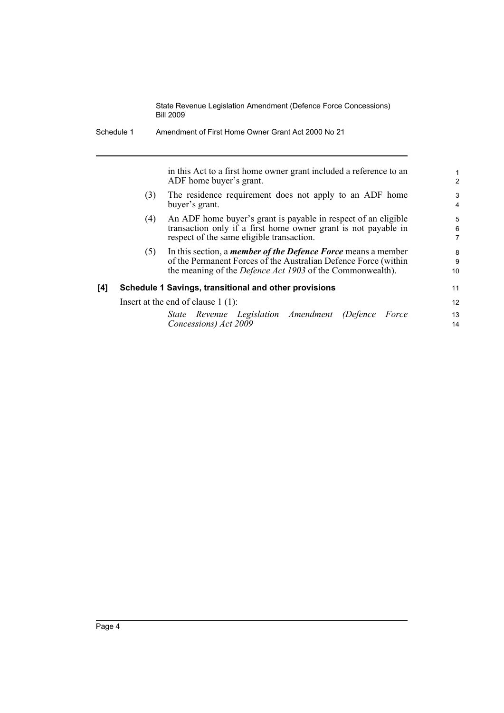|     |     | in this Act to a first home owner grant included a reference to an<br>ADF home buyer's grant.                                                                                                               | $\mathbf{1}$<br>$\overline{2}$ |
|-----|-----|-------------------------------------------------------------------------------------------------------------------------------------------------------------------------------------------------------------|--------------------------------|
|     | (3) | The residence requirement does not apply to an ADF home<br>buyer's grant.                                                                                                                                   | 3<br>4                         |
|     | (4) | An ADF home buyer's grant is payable in respect of an eligible<br>transaction only if a first home owner grant is not payable in<br>respect of the same eligible transaction.                               | 5<br>6<br>$\overline{7}$       |
|     | (5) | In this section, a <i>member of the Defence Force</i> means a member<br>of the Permanent Forces of the Australian Defence Force (within<br>the meaning of the <i>Defence Act 1903</i> of the Commonwealth). | 8<br>9<br>10                   |
| [4] |     | Schedule 1 Savings, transitional and other provisions                                                                                                                                                       | 11                             |
|     |     | Insert at the end of clause $1(1)$ :                                                                                                                                                                        | 12                             |
|     |     | State Revenue Legislation Amendment (Defence Force<br>Concessions) Act 2009                                                                                                                                 | 13<br>14                       |

Schedule 1 Amendment of First Home Owner Grant Act 2000 No 21